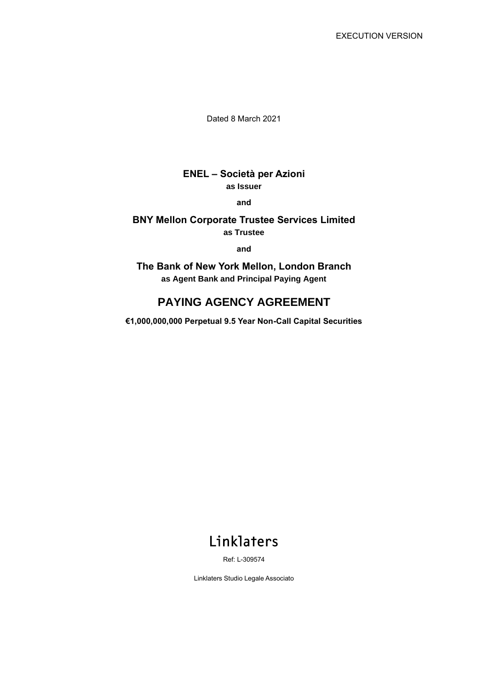Dated 8 March 2021

### **ENEL – Società per Azioni as Issuer**

**and**

#### **BNY Mellon Corporate Trustee Services Limited as Trustee**

**and**

**The Bank of New York Mellon, London Branch as Agent Bank and Principal Paying Agent**

# **PAYING AGENCY AGREEMENT**

**€1,000,000,000 Perpetual 9.5 Year Non-Call Capital Securities**

# Linklaters

Ref: L-309574

Linklaters Studio Legale Associato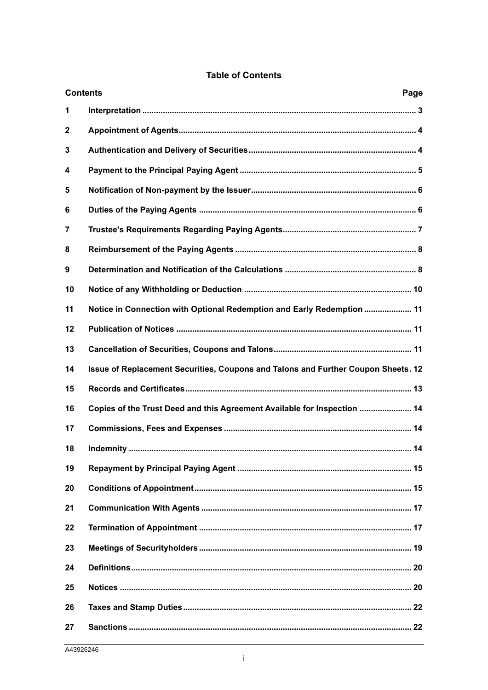|              | <b>Contents</b><br>Page                                                           |  |  |
|--------------|-----------------------------------------------------------------------------------|--|--|
| 1            |                                                                                   |  |  |
| $\mathbf{2}$ |                                                                                   |  |  |
| 3            |                                                                                   |  |  |
| 4            |                                                                                   |  |  |
| 5            |                                                                                   |  |  |
| 6            |                                                                                   |  |  |
| 7            |                                                                                   |  |  |
| 8            |                                                                                   |  |  |
| 9            |                                                                                   |  |  |
| 10           |                                                                                   |  |  |
| 11           | Notice in Connection with Optional Redemption and Early Redemption  11            |  |  |
| 12           |                                                                                   |  |  |
| 13           |                                                                                   |  |  |
| 14           | Issue of Replacement Securities, Coupons and Talons and Further Coupon Sheets. 12 |  |  |
| 15           |                                                                                   |  |  |
| 16           | Copies of the Trust Deed and this Agreement Available for Inspection  14          |  |  |
| 17           |                                                                                   |  |  |
| 18           |                                                                                   |  |  |
| 19           |                                                                                   |  |  |
| 20           |                                                                                   |  |  |
| 21           |                                                                                   |  |  |
| 22           |                                                                                   |  |  |
| 23           |                                                                                   |  |  |
| 24           |                                                                                   |  |  |
| 25           |                                                                                   |  |  |
| 26           |                                                                                   |  |  |
| 27           |                                                                                   |  |  |

#### **Table of Contents**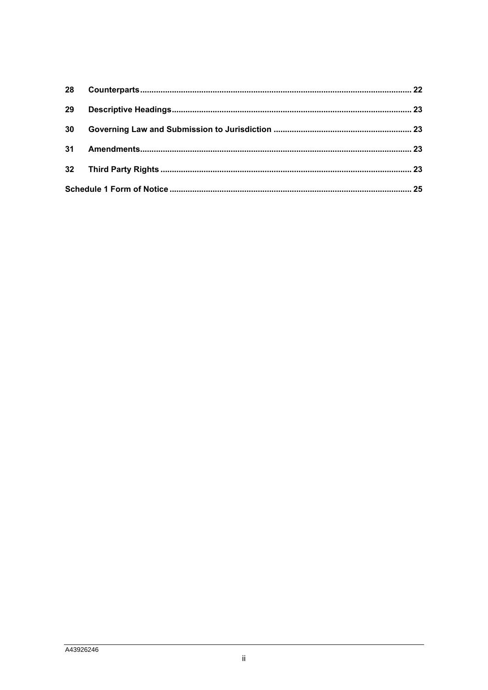| 28 |  |  |
|----|--|--|
| 29 |  |  |
| 30 |  |  |
| 31 |  |  |
|    |  |  |
| 25 |  |  |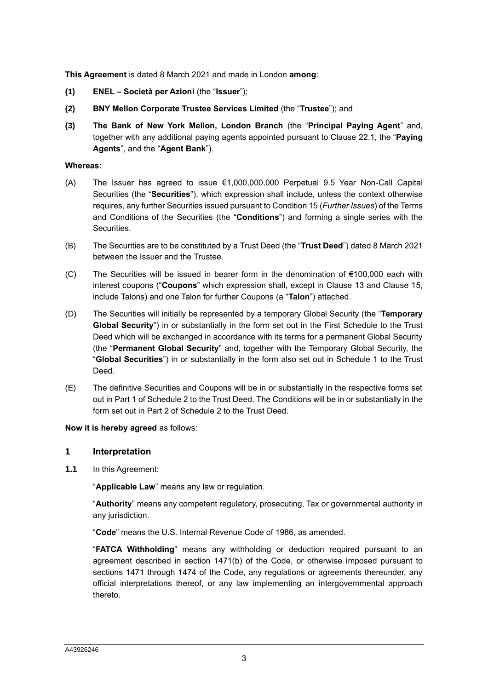**This Agreement** is dated 8 March 2021 and made in London **among**:

- **(1) ENEL – Società per Azioni** (the "**Issuer**");
- **(2) BNY Mellon Corporate Trustee Services Limited** (the "**Trustee**"); and
- **(3) The Bank of New York Mellon, London Branch** (the "**Principal Paying Agent**" and, together with any additional paying agents appointed pursuant to Clause [22.1,](#page-17-0) the "**Paying Agents**", and the "**Agent Bank**").

#### **Whereas**:

- (A) The Issuer has agreed to issue  $\epsilon$ 1,000,000,000 Perpetual 9.5 Year Non-Call Capital Securities (the "**Securities**"), which expression shall include, unless the context otherwise requires, any further Securities issued pursuant to Condition 15 (*Further Issues*) of the Terms and Conditions of the Securities (the "**Conditions**") and forming a single series with the Securities.
- (B) The Securities are to be constituted by a Trust Deed (the "**Trust Deed**") dated 8 March 2021 between the Issuer and the Trustee.
- (C) The Securities will be issued in bearer form in the denomination of €100,000 each with interest coupons ("**Coupons**" which expression shall, except in Clause [13](#page-11-0) and Clause [15,](#page-13-0) include Talons) and one Talon for further Coupons (a "**Talon**") attached.
- (D) The Securities will initially be represented by a temporary Global Security (the "**Temporary Global Security**") in or substantially in the form set out in the First Schedule to the Trust Deed which will be exchanged in accordance with its terms for a permanent Global Security (the "**Permanent Global Security**" and, together with the Temporary Global Security, the "**Global Securities**") in or substantially in the form also set out in Schedule 1 to the Trust Deed.
- (E) The definitive Securities and Coupons will be in or substantially in the respective forms set out in Part 1 of Schedule 2 to the Trust Deed. The Conditions will be in or substantially in the form set out in Part 2 of Schedule 2 to the Trust Deed.

#### **Now it is hereby agreed** as follows:

#### **1 Interpretation**

**1.1** In this Agreement:

"**Applicable Law**" means any law or regulation.

"**Authority**" means any competent regulatory, prosecuting, Tax or governmental authority in any jurisdiction.

"**Code**" means the U.S. Internal Revenue Code of 1986, as amended.

"**FATCA Withholding**" means any withholding or deduction required pursuant to an agreement described in section 1471(b) of the Code, or otherwise imposed pursuant to sections 1471 through 1474 of the Code, any regulations or agreements thereunder, any official interpretations thereof, or any law implementing an intergovernmental approach thereto.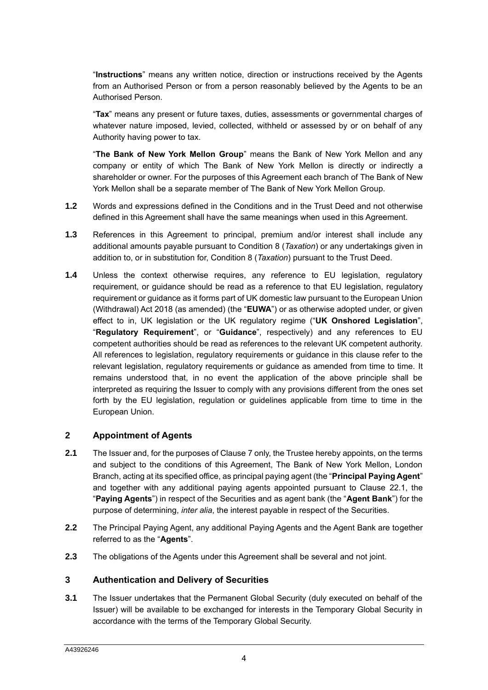"**Instructions**" means any written notice, direction or instructions received by the Agents from an Authorised Person or from a person reasonably believed by the Agents to be an Authorised Person.

"**Tax**" means any present or future taxes, duties, assessments or governmental charges of whatever nature imposed, levied, collected, withheld or assessed by or on behalf of any Authority having power to tax.

"**The Bank of New York Mellon Group**" means the Bank of New York Mellon and any company or entity of which The Bank of New York Mellon is directly or indirectly a shareholder or owner. For the purposes of this Agreement each branch of The Bank of New York Mellon shall be a separate member of The Bank of New York Mellon Group.

- **1.2** Words and expressions defined in the Conditions and in the Trust Deed and not otherwise defined in this Agreement shall have the same meanings when used in this Agreement.
- **1.3** References in this Agreement to principal, premium and/or interest shall include any additional amounts payable pursuant to Condition 8 (*Taxation*) or any undertakings given in addition to, or in substitution for, Condition 8 (*Taxation*) pursuant to the Trust Deed.
- **1.4** Unless the context otherwise requires, any reference to EU legislation, regulatory requirement, or guidance should be read as a reference to that EU legislation, regulatory requirement or guidance as it forms part of UK domestic law pursuant to the European Union (Withdrawal) Act 2018 (as amended) (the "**EUWA**") or as otherwise adopted under, or given effect to in, UK legislation or the UK regulatory regime ("**UK Onshored Legislation**", "**Regulatory Requirement**", or "**Guidance**", respectively) and any references to EU competent authorities should be read as references to the relevant UK competent authority. All references to legislation, regulatory requirements or guidance in this clause refer to the relevant legislation, regulatory requirements or guidance as amended from time to time. It remains understood that, in no event the application of the above principle shall be interpreted as requiring the Issuer to comply with any provisions different from the ones set forth by the EU legislation, regulation or guidelines applicable from time to time in the European Union.

#### **2 Appointment of Agents**

- **2.1** The Issuer and, for the purposes of Claus[e 7](#page-7-0) only, the Trustee hereby appoints, on the terms and subject to the conditions of this Agreement, The Bank of New York Mellon, London Branch, acting at its specified office, as principal paying agent (the "**Principal Paying Agent**" and together with any additional paying agents appointed pursuant to Clause [22.1,](#page-17-0) the "**Paying Agents**") in respect of the Securities and as agent bank (the "**Agent Bank**") for the purpose of determining, *inter alia*, the interest payable in respect of the Securities.
- **2.2** The Principal Paying Agent, any additional Paying Agents and the Agent Bank are together referred to as the "**Agents**".
- **2.3** The obligations of the Agents under this Agreement shall be several and not joint.

#### **3 Authentication and Delivery of Securities**

**3.1** The Issuer undertakes that the Permanent Global Security (duly executed on behalf of the Issuer) will be available to be exchanged for interests in the Temporary Global Security in accordance with the terms of the Temporary Global Security.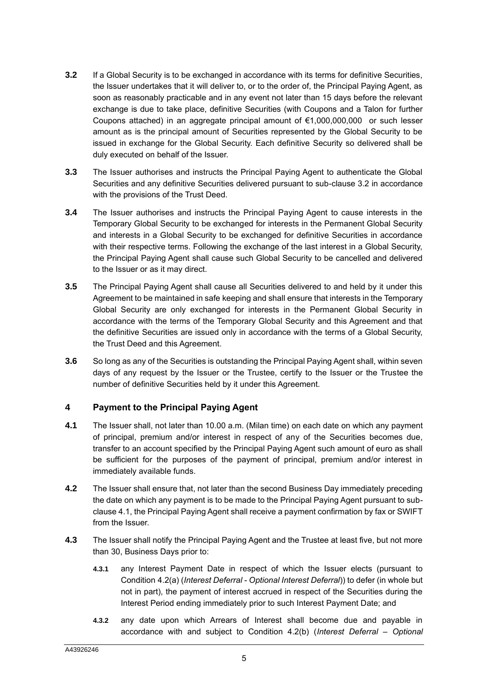- <span id="page-5-0"></span>**3.2** If a Global Security is to be exchanged in accordance with its terms for definitive Securities, the Issuer undertakes that it will deliver to, or to the order of, the Principal Paying Agent, as soon as reasonably practicable and in any event not later than 15 days before the relevant exchange is due to take place, definitive Securities (with Coupons and a Talon for further Coupons attached) in an aggregate principal amount of €1,000,000,000 or such lesser amount as is the principal amount of Securities represented by the Global Security to be issued in exchange for the Global Security. Each definitive Security so delivered shall be duly executed on behalf of the Issuer.
- **3.3** The Issuer authorises and instructs the Principal Paying Agent to authenticate the Global Securities and any definitive Securities delivered pursuant to sub-clause [3.2](#page-5-0) in accordance with the provisions of the Trust Deed.
- **3.4** The Issuer authorises and instructs the Principal Paying Agent to cause interests in the Temporary Global Security to be exchanged for interests in the Permanent Global Security and interests in a Global Security to be exchanged for definitive Securities in accordance with their respective terms. Following the exchange of the last interest in a Global Security, the Principal Paying Agent shall cause such Global Security to be cancelled and delivered to the Issuer or as it may direct.
- **3.5** The Principal Paying Agent shall cause all Securities delivered to and held by it under this Agreement to be maintained in safe keeping and shall ensure that interests in the Temporary Global Security are only exchanged for interests in the Permanent Global Security in accordance with the terms of the Temporary Global Security and this Agreement and that the definitive Securities are issued only in accordance with the terms of a Global Security, the Trust Deed and this Agreement.
- **3.6** So long as any of the Securities is outstanding the Principal Paying Agent shall, within seven days of any request by the Issuer or the Trustee, certify to the Issuer or the Trustee the number of definitive Securities held by it under this Agreement.

# <span id="page-5-2"></span>**4 Payment to the Principal Paying Agent**

- <span id="page-5-1"></span>**4.1** The Issuer shall, not later than 10.00 a.m. (Milan time) on each date on which any payment of principal, premium and/or interest in respect of any of the Securities becomes due, transfer to an account specified by the Principal Paying Agent such amount of euro as shall be sufficient for the purposes of the payment of principal, premium and/or interest in immediately available funds.
- **4.2** The Issuer shall ensure that, not later than the second Business Day immediately preceding the date on which any payment is to be made to the Principal Paying Agent pursuant to subclaus[e 4.1,](#page-5-1) the Principal Paying Agent shall receive a payment confirmation by fax or SWIFT from the Issuer.
- **4.3** The Issuer shall notify the Principal Paying Agent and the Trustee at least five, but not more than 30, Business Days prior to:
	- **4.3.1** any Interest Payment Date in respect of which the Issuer elects (pursuant to Condition 4.2(a) (*Interest Deferral - Optional Interest Deferral*)) to defer (in whole but not in part), the payment of interest accrued in respect of the Securities during the Interest Period ending immediately prior to such Interest Payment Date; and
	- **4.3.2** any date upon which Arrears of Interest shall become due and payable in accordance with and subject to Condition 4.2(b) (*Interest Deferral – Optional*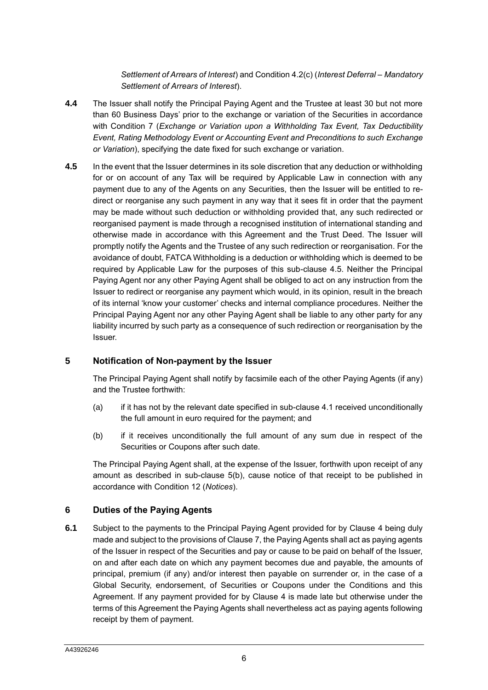*Settlement of Arrears of Interest*) and Condition 4.2(c) (*Interest Deferral – Mandatory Settlement of Arrears of Interest*).

- **4.4** The Issuer shall notify the Principal Paying Agent and the Trustee at least 30 but not more than 60 Business Days' prior to the exchange or variation of the Securities in accordance with Condition 7 (*Exchange or Variation upon a Withholding Tax Event, Tax Deductibility Event, Rating Methodology Event or Accounting Event and Preconditions to such Exchange or Variation*), specifying the date fixed for such exchange or variation.
- **4.5** In the event that the Issuer determines in its sole discretion that any deduction or withholding for or on account of any Tax will be required by Applicable Law in connection with any payment due to any of the Agents on any Securities, then the Issuer will be entitled to redirect or reorganise any such payment in any way that it sees fit in order that the payment may be made without such deduction or withholding provided that, any such redirected or reorganised payment is made through a recognised institution of international standing and otherwise made in accordance with this Agreement and the Trust Deed. The Issuer will promptly notify the Agents and the Trustee of any such redirection or reorganisation. For the avoidance of doubt, FATCA Withholding is a deduction or withholding which is deemed to be required by Applicable Law for the purposes of this sub-clause 4.5. Neither the Principal Paying Agent nor any other Paying Agent shall be obliged to act on any instruction from the Issuer to redirect or reorganise any payment which would, in its opinion, result in the breach of its internal 'know your customer' checks and internal compliance procedures. Neither the Principal Paying Agent nor any other Paying Agent shall be liable to any other party for any liability incurred by such party as a consequence of such redirection or reorganisation by the Issuer.

#### <span id="page-6-0"></span>**5 Notification of Non-payment by the Issuer**

The Principal Paying Agent shall notify by facsimile each of the other Paying Agents (if any) and the Trustee forthwith:

- (a) if it has not by the relevant date specified in sub-clause [4.1](#page-5-1) received unconditionally the full amount in euro required for the payment; and
- <span id="page-6-1"></span>(b) if it receives unconditionally the full amount of any sum due in respect of the Securities or Coupons after such date.

The Principal Paying Agent shall, at the expense of the Issuer, forthwith upon receipt of any amount as described in sub-clause [5](#page-6-0)[\(b\),](#page-6-1) cause notice of that receipt to be published in accordance with Condition 12 (*Notices*).

#### **6 Duties of the Paying Agents**

<span id="page-6-2"></span>**6.1** Subject to the payments to the Principal Paying Agent provided for by Clause [4](#page-5-2) being duly made and subject to the provisions of Clause [7,](#page-7-0) the Paying Agents shall act as paying agents of the Issuer in respect of the Securities and pay or cause to be paid on behalf of the Issuer, on and after each date on which any payment becomes due and payable, the amounts of principal, premium (if any) and/or interest then payable on surrender or, in the case of a Global Security, endorsement, of Securities or Coupons under the Conditions and this Agreement. If any payment provided for by Clause [4](#page-5-2) is made late but otherwise under the terms of this Agreement the Paying Agents shall nevertheless act as paying agents following receipt by them of payment.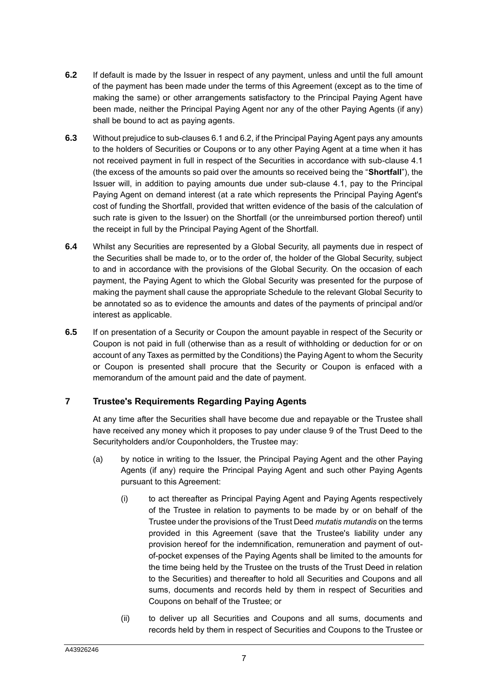- <span id="page-7-1"></span>**6.2** If default is made by the Issuer in respect of any payment, unless and until the full amount of the payment has been made under the terms of this Agreement (except as to the time of making the same) or other arrangements satisfactory to the Principal Paying Agent have been made, neither the Principal Paying Agent nor any of the other Paying Agents (if any) shall be bound to act as paying agents.
- **6.3** Without prejudice to sub-clauses [6.1](#page-6-2) and [6.2,](#page-7-1) if the Principal Paying Agent pays any amounts to the holders of Securities or Coupons or to any other Paying Agent at a time when it has not received payment in full in respect of the Securities in accordance with sub-clause [4.1](#page-5-1) (the excess of the amounts so paid over the amounts so received being the "**Shortfall**"), the Issuer will, in addition to paying amounts due under sub-clause [4.1,](#page-5-1) pay to the Principal Paying Agent on demand interest (at a rate which represents the Principal Paying Agent's cost of funding the Shortfall, provided that written evidence of the basis of the calculation of such rate is given to the Issuer) on the Shortfall (or the unreimbursed portion thereof) until the receipt in full by the Principal Paying Agent of the Shortfall.
- **6.4** Whilst any Securities are represented by a Global Security, all payments due in respect of the Securities shall be made to, or to the order of, the holder of the Global Security, subject to and in accordance with the provisions of the Global Security. On the occasion of each payment, the Paying Agent to which the Global Security was presented for the purpose of making the payment shall cause the appropriate Schedule to the relevant Global Security to be annotated so as to evidence the amounts and dates of the payments of principal and/or interest as applicable.
- **6.5** If on presentation of a Security or Coupon the amount payable in respect of the Security or Coupon is not paid in full (otherwise than as a result of withholding or deduction for or on account of any Taxes as permitted by the Conditions) the Paying Agent to whom the Security or Coupon is presented shall procure that the Security or Coupon is enfaced with a memorandum of the amount paid and the date of payment.

# <span id="page-7-0"></span>**7 Trustee's Requirements Regarding Paying Agents**

At any time after the Securities shall have become due and repayable or the Trustee shall have received any money which it proposes to pay under clause 9 of the Trust Deed to the Securityholders and/or Couponholders, the Trustee may:

- (a) by notice in writing to the Issuer, the Principal Paying Agent and the other Paying Agents (if any) require the Principal Paying Agent and such other Paying Agents pursuant to this Agreement:
	- (i) to act thereafter as Principal Paying Agent and Paying Agents respectively of the Trustee in relation to payments to be made by or on behalf of the Trustee under the provisions of the Trust Deed *mutatis mutandis* on the terms provided in this Agreement (save that the Trustee's liability under any provision hereof for the indemnification, remuneration and payment of outof-pocket expenses of the Paying Agents shall be limited to the amounts for the time being held by the Trustee on the trusts of the Trust Deed in relation to the Securities) and thereafter to hold all Securities and Coupons and all sums, documents and records held by them in respect of Securities and Coupons on behalf of the Trustee; or
	- (ii) to deliver up all Securities and Coupons and all sums, documents and records held by them in respect of Securities and Coupons to the Trustee or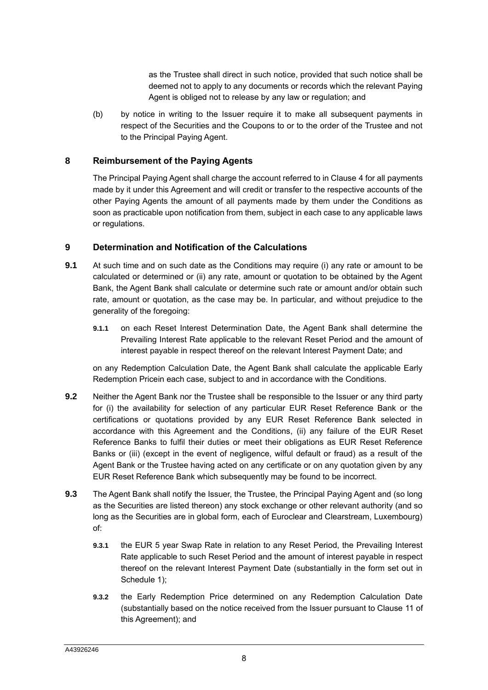as the Trustee shall direct in such notice, provided that such notice shall be deemed not to apply to any documents or records which the relevant Paying Agent is obliged not to release by any law or regulation; and

(b) by notice in writing to the Issuer require it to make all subsequent payments in respect of the Securities and the Coupons to or to the order of the Trustee and not to the Principal Paying Agent.

#### **8 Reimbursement of the Paying Agents**

The Principal Paying Agent shall charge the account referred to in Clause [4](#page-5-2) for all payments made by it under this Agreement and will credit or transfer to the respective accounts of the other Paying Agents the amount of all payments made by them under the Conditions as soon as practicable upon notification from them, subject in each case to any applicable laws or regulations.

#### <span id="page-8-1"></span>**9 Determination and Notification of the Calculations**

- **9.1** At such time and on such date as the Conditions may require (i) any rate or amount to be calculated or determined or (ii) any rate, amount or quotation to be obtained by the Agent Bank, the Agent Bank shall calculate or determine such rate or amount and/or obtain such rate, amount or quotation, as the case may be. In particular, and without prejudice to the generality of the foregoing:
	- **9.1.1** on each Reset Interest Determination Date, the Agent Bank shall determine the Prevailing Interest Rate applicable to the relevant Reset Period and the amount of interest payable in respect thereof on the relevant Interest Payment Date; and

on any Redemption Calculation Date, the Agent Bank shall calculate the applicable Early Redemption Pricein each case, subject to and in accordance with the Conditions.

- **9.2** Neither the Agent Bank nor the Trustee shall be responsible to the Issuer or any third party for (i) the availability for selection of any particular EUR Reset Reference Bank or the certifications or quotations provided by any EUR Reset Reference Bank selected in accordance with this Agreement and the Conditions, (ii) any failure of the EUR Reset Reference Banks to fulfil their duties or meet their obligations as EUR Reset Reference Banks or (iii) (except in the event of negligence, wilful default or fraud) as a result of the Agent Bank or the Trustee having acted on any certificate or on any quotation given by any EUR Reset Reference Bank which subsequently may be found to be incorrect.
- <span id="page-8-2"></span><span id="page-8-0"></span>**9.3** The Agent Bank shall notify the Issuer, the Trustee, the Principal Paying Agent and (so long as the Securities are listed thereon) any stock exchange or other relevant authority (and so long as the Securities are in global form, each of Euroclear and Clearstream, Luxembourg) of:
	- **9.3.1** the EUR 5 year Swap Rate in relation to any Reset Period, the Prevailing Interest Rate applicable to such Reset Period and the amount of interest payable in respect thereof on the relevant Interest Payment Date (substantially in the form set out in [Schedule 1\)](#page-25-0):
	- **9.3.2** the Early Redemption Price determined on any Redemption Calculation Date (substantially based on the notice received from the Issuer pursuant to Clause [11](#page-11-1) of this Agreement); and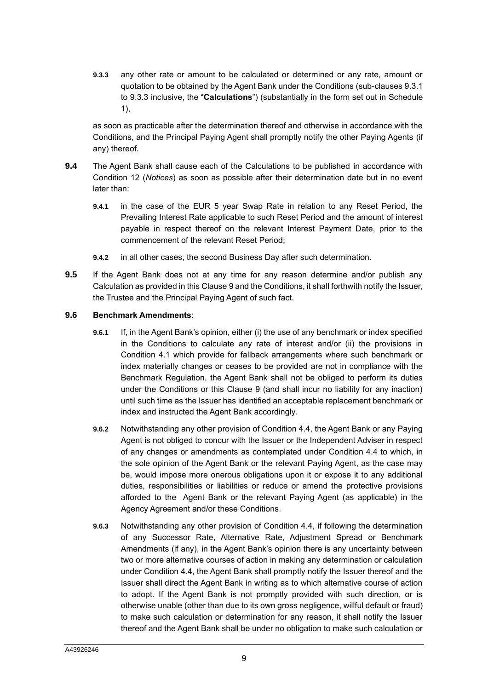<span id="page-9-0"></span>**9.3.3** any other rate or amount to be calculated or determined or any rate, amount or quotation to be obtained by the Agent Bank under the Conditions (sub-clause[s 9.3.1](#page-8-0) to [9.3.3](#page-9-0) inclusive, the "**Calculations**") (substantially in the form set out in [Schedule](#page-25-0)  [1\)](#page-25-0),

as soon as practicable after the determination thereof and otherwise in accordance with the Conditions, and the Principal Paying Agent shall promptly notify the other Paying Agents (if any) thereof.

- **9.4** The Agent Bank shall cause each of the Calculations to be published in accordance with Condition 12 (*Notices*) as soon as possible after their determination date but in no event later than:
	- **9.4.1** in the case of the EUR 5 year Swap Rate in relation to any Reset Period, the Prevailing Interest Rate applicable to such Reset Period and the amount of interest payable in respect thereof on the relevant Interest Payment Date, prior to the commencement of the relevant Reset Period;
	- **9.4.2** in all other cases, the second Business Day after such determination.
- **9.5** If the Agent Bank does not at any time for any reason determine and/or publish any Calculation as provided in this Clause [9](#page-8-1) and the Conditions, it shall forthwith notify the Issuer, the Trustee and the Principal Paying Agent of such fact.

#### **9.6 Benchmark Amendments**:

- **9.6.1** If, in the Agent Bank's opinion, either (i) the use of any benchmark or index specified in the Conditions to calculate any rate of interest and/or (ii) the provisions in Condition 4.1 which provide for fallback arrangements where such benchmark or index materially changes or ceases to be provided are not in compliance with the Benchmark Regulation, the Agent Bank shall not be obliged to perform its duties under the Conditions or this Clause 9 (and shall incur no liability for any inaction) until such time as the Issuer has identified an acceptable replacement benchmark or index and instructed the Agent Bank accordingly.
- **9.6.2** Notwithstanding any other provision of Condition 4.4, the Agent Bank or any Paying Agent is not obliged to concur with the Issuer or the Independent Adviser in respect of any changes or amendments as contemplated under Condition 4.4 to which, in the sole opinion of the Agent Bank or the relevant Paying Agent, as the case may be, would impose more onerous obligations upon it or expose it to any additional duties, responsibilities or liabilities or reduce or amend the protective provisions afforded to the Agent Bank or the relevant Paying Agent (as applicable) in the Agency Agreement and/or these Conditions.
- **9.6.3** Notwithstanding any other provision of Condition 4.4, if following the determination of any Successor Rate, Alternative Rate, Adjustment Spread or Benchmark Amendments (if any), in the Agent Bank's opinion there is any uncertainty between two or more alternative courses of action in making any determination or calculation under Condition 4.4, the Agent Bank shall promptly notify the Issuer thereof and the Issuer shall direct the Agent Bank in writing as to which alternative course of action to adopt. If the Agent Bank is not promptly provided with such direction, or is otherwise unable (other than due to its own gross negligence, willful default or fraud) to make such calculation or determination for any reason, it shall notify the Issuer thereof and the Agent Bank shall be under no obligation to make such calculation or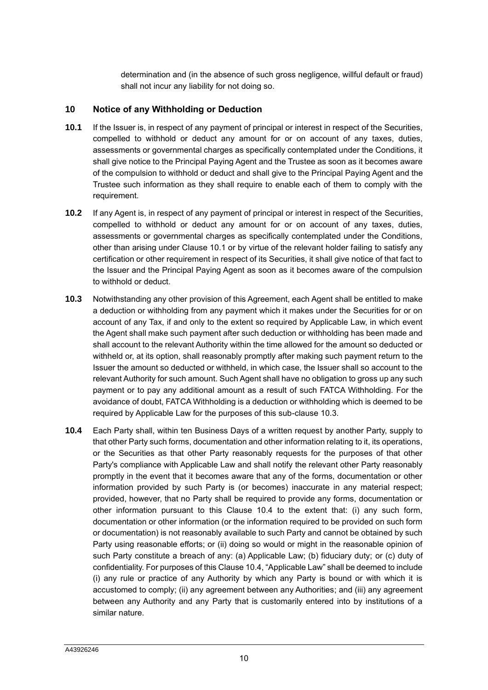determination and (in the absence of such gross negligence, willful default or fraud) shall not incur any liability for not doing so.

#### **10 Notice of any Withholding or Deduction**

- **10.1** If the Issuer is, in respect of any payment of principal or interest in respect of the Securities, compelled to withhold or deduct any amount for or on account of any taxes, duties, assessments or governmental charges as specifically contemplated under the Conditions, it shall give notice to the Principal Paying Agent and the Trustee as soon as it becomes aware of the compulsion to withhold or deduct and shall give to the Principal Paying Agent and the Trustee such information as they shall require to enable each of them to comply with the requirement.
- **10.2** If any Agent is, in respect of any payment of principal or interest in respect of the Securities, compelled to withhold or deduct any amount for or on account of any taxes, duties, assessments or governmental charges as specifically contemplated under the Conditions, other than arising under Clause 10.1 or by virtue of the relevant holder failing to satisfy any certification or other requirement in respect of its Securities, it shall give notice of that fact to the Issuer and the Principal Paying Agent as soon as it becomes aware of the compulsion to withhold or deduct.
- **10.3** Notwithstanding any other provision of this Agreement, each Agent shall be entitled to make a deduction or withholding from any payment which it makes under the Securities for or on account of any Tax, if and only to the extent so required by Applicable Law, in which event the Agent shall make such payment after such deduction or withholding has been made and shall account to the relevant Authority within the time allowed for the amount so deducted or withheld or, at its option, shall reasonably promptly after making such payment return to the Issuer the amount so deducted or withheld, in which case, the Issuer shall so account to the relevant Authority for such amount. Such Agent shall have no obligation to gross up any such payment or to pay any additional amount as a result of such FATCA Withholding. For the avoidance of doubt, FATCA Withholding is a deduction or withholding which is deemed to be required by Applicable Law for the purposes of this sub-clause 10.3.
- **10.4** Each Party shall, within ten Business Days of a written request by another Party, supply to that other Party such forms, documentation and other information relating to it, its operations, or the Securities as that other Party reasonably requests for the purposes of that other Party's compliance with Applicable Law and shall notify the relevant other Party reasonably promptly in the event that it becomes aware that any of the forms, documentation or other information provided by such Party is (or becomes) inaccurate in any material respect; provided, however, that no Party shall be required to provide any forms, documentation or other information pursuant to this Clause 10.4 to the extent that: (i) any such form, documentation or other information (or the information required to be provided on such form or documentation) is not reasonably available to such Party and cannot be obtained by such Party using reasonable efforts; or (ii) doing so would or might in the reasonable opinion of such Party constitute a breach of any: (a) Applicable Law; (b) fiduciary duty; or (c) duty of confidentiality. For purposes of this Clause 10.4, "Applicable Law" shall be deemed to include (i) any rule or practice of any Authority by which any Party is bound or with which it is accustomed to comply; (ii) any agreement between any Authorities; and (iii) any agreement between any Authority and any Party that is customarily entered into by institutions of a similar nature.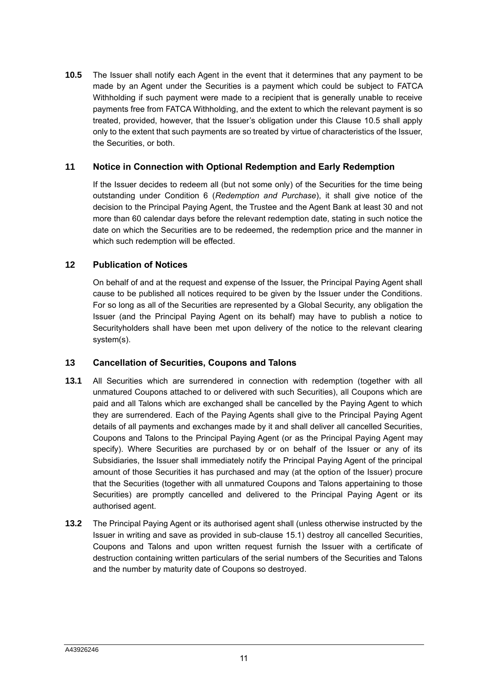**10.5** The Issuer shall notify each Agent in the event that it determines that any payment to be made by an Agent under the Securities is a payment which could be subject to FATCA Withholding if such payment were made to a recipient that is generally unable to receive payments free from FATCA Withholding, and the extent to which the relevant payment is so treated, provided, however, that the Issuer's obligation under this Clause 10.5 shall apply only to the extent that such payments are so treated by virtue of characteristics of the Issuer, the Securities, or both.

#### <span id="page-11-1"></span>**11 Notice in Connection with Optional Redemption and Early Redemption**

If the Issuer decides to redeem all (but not some only) of the Securities for the time being outstanding under Condition 6 (*Redemption and Purchase*), it shall give notice of the decision to the Principal Paying Agent, the Trustee and the Agent Bank at least 30 and not more than 60 calendar days before the relevant redemption date, stating in such notice the date on which the Securities are to be redeemed, the redemption price and the manner in which such redemption will be effected.

#### **12 Publication of Notices**

On behalf of and at the request and expense of the Issuer, the Principal Paying Agent shall cause to be published all notices required to be given by the Issuer under the Conditions. For so long as all of the Securities are represented by a Global Security, any obligation the Issuer (and the Principal Paying Agent on its behalf) may have to publish a notice to Securityholders shall have been met upon delivery of the notice to the relevant clearing system(s).

#### <span id="page-11-0"></span>**13 Cancellation of Securities, Coupons and Talons**

- <span id="page-11-3"></span>**13.1** All Securities which are surrendered in connection with redemption (together with all unmatured Coupons attached to or delivered with such Securities), all Coupons which are paid and all Talons which are exchanged shall be cancelled by the Paying Agent to which they are surrendered. Each of the Paying Agents shall give to the Principal Paying Agent details of all payments and exchanges made by it and shall deliver all cancelled Securities, Coupons and Talons to the Principal Paying Agent (or as the Principal Paying Agent may specify). Where Securities are purchased by or on behalf of the Issuer or any of its Subsidiaries, the Issuer shall immediately notify the Principal Paying Agent of the principal amount of those Securities it has purchased and may (at the option of the Issuer) procure that the Securities (together with all unmatured Coupons and Talons appertaining to those Securities) are promptly cancelled and delivered to the Principal Paying Agent or its authorised agent.
- <span id="page-11-2"></span>**13.2** The Principal Paying Agent or its authorised agent shall (unless otherwise instructed by the Issuer in writing and save as provided in sub-clause [15.1\)](#page-13-1) destroy all cancelled Securities, Coupons and Talons and upon written request furnish the Issuer with a certificate of destruction containing written particulars of the serial numbers of the Securities and Talons and the number by maturity date of Coupons so destroyed.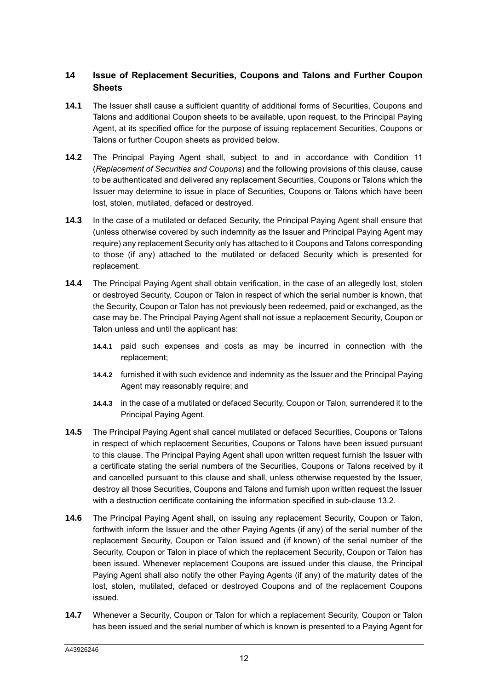# **14 Issue of Replacement Securities, Coupons and Talons and Further Coupon Sheets**

- **14.1** The Issuer shall cause a sufficient quantity of additional forms of Securities, Coupons and Talons and additional Coupon sheets to be available, upon request, to the Principal Paying Agent, at its specified office for the purpose of issuing replacement Securities, Coupons or Talons or further Coupon sheets as provided below.
- **14.2** The Principal Paying Agent shall, subject to and in accordance with Condition 11 (*Replacement of Securities and Coupons*) and the following provisions of this clause, cause to be authenticated and delivered any replacement Securities, Coupons or Talons which the Issuer may determine to issue in place of Securities, Coupons or Talons which have been lost, stolen, mutilated, defaced or destroyed.
- **14.3** In the case of a mutilated or defaced Security, the Principal Paying Agent shall ensure that (unless otherwise covered by such indemnity as the Issuer and Principal Paying Agent may require) any replacement Security only has attached to it Coupons and Talons corresponding to those (if any) attached to the mutilated or defaced Security which is presented for replacement.
- **14.4** The Principal Paying Agent shall obtain verification, in the case of an allegedly lost, stolen or destroyed Security, Coupon or Talon in respect of which the serial number is known, that the Security, Coupon or Talon has not previously been redeemed, paid or exchanged, as the case may be. The Principal Paying Agent shall not issue a replacement Security, Coupon or Talon unless and until the applicant has:
	- **14.4.1** paid such expenses and costs as may be incurred in connection with the replacement;
	- **14.4.2** furnished it with such evidence and indemnity as the Issuer and the Principal Paying Agent may reasonably require; and
	- **14.4.3** in the case of a mutilated or defaced Security, Coupon or Talon, surrendered it to the Principal Paying Agent.
- **14.5** The Principal Paying Agent shall cancel mutilated or defaced Securities, Coupons or Talons in respect of which replacement Securities, Coupons or Talons have been issued pursuant to this clause. The Principal Paying Agent shall upon written request furnish the Issuer with a certificate stating the serial numbers of the Securities, Coupons or Talons received by it and cancelled pursuant to this clause and shall, unless otherwise requested by the Issuer, destroy all those Securities, Coupons and Talons and furnish upon written request the Issuer with a destruction certificate containing the information specified in sub-clause [13.2.](#page-11-2)
- **14.6** The Principal Paying Agent shall, on issuing any replacement Security, Coupon or Talon, forthwith inform the Issuer and the other Paying Agents (if any) of the serial number of the replacement Security, Coupon or Talon issued and (if known) of the serial number of the Security, Coupon or Talon in place of which the replacement Security, Coupon or Talon has been issued. Whenever replacement Coupons are issued under this clause, the Principal Paying Agent shall also notify the other Paying Agents (if any) of the maturity dates of the lost, stolen, mutilated, defaced or destroyed Coupons and of the replacement Coupons issued.
- **14.7** Whenever a Security, Coupon or Talon for which a replacement Security, Coupon or Talon has been issued and the serial number of which is known is presented to a Paying Agent for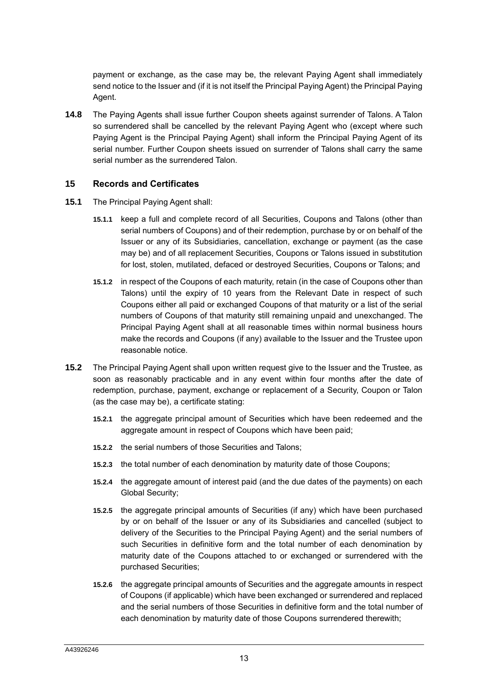payment or exchange, as the case may be, the relevant Paying Agent shall immediately send notice to the Issuer and (if it is not itself the Principal Paying Agent) the Principal Paying Agent.

**14.8** The Paying Agents shall issue further Coupon sheets against surrender of Talons. A Talon so surrendered shall be cancelled by the relevant Paying Agent who (except where such Paying Agent is the Principal Paying Agent) shall inform the Principal Paying Agent of its serial number. Further Coupon sheets issued on surrender of Talons shall carry the same serial number as the surrendered Talon.

#### <span id="page-13-0"></span>**15 Records and Certificates**

- <span id="page-13-1"></span>**15.1** The Principal Paying Agent shall:
	- **15.1.1** keep a full and complete record of all Securities, Coupons and Talons (other than serial numbers of Coupons) and of their redemption, purchase by or on behalf of the Issuer or any of its Subsidiaries, cancellation, exchange or payment (as the case may be) and of all replacement Securities, Coupons or Talons issued in substitution for lost, stolen, mutilated, defaced or destroyed Securities, Coupons or Talons; and
	- **15.1.2** in respect of the Coupons of each maturity, retain (in the case of Coupons other than Talons) until the expiry of 10 years from the Relevant Date in respect of such Coupons either all paid or exchanged Coupons of that maturity or a list of the serial numbers of Coupons of that maturity still remaining unpaid and unexchanged. The Principal Paying Agent shall at all reasonable times within normal business hours make the records and Coupons (if any) available to the Issuer and the Trustee upon reasonable notice.
- **15.2** The Principal Paying Agent shall upon written request give to the Issuer and the Trustee, as soon as reasonably practicable and in any event within four months after the date of redemption, purchase, payment, exchange or replacement of a Security, Coupon or Talon (as the case may be), a certificate stating:
	- **15.2.1** the aggregate principal amount of Securities which have been redeemed and the aggregate amount in respect of Coupons which have been paid;
	- **15.2.2** the serial numbers of those Securities and Talons;
	- **15.2.3** the total number of each denomination by maturity date of those Coupons;
	- **15.2.4** the aggregate amount of interest paid (and the due dates of the payments) on each Global Security;
	- **15.2.5** the aggregate principal amounts of Securities (if any) which have been purchased by or on behalf of the Issuer or any of its Subsidiaries and cancelled (subject to delivery of the Securities to the Principal Paying Agent) and the serial numbers of such Securities in definitive form and the total number of each denomination by maturity date of the Coupons attached to or exchanged or surrendered with the purchased Securities;
	- **15.2.6** the aggregate principal amounts of Securities and the aggregate amounts in respect of Coupons (if applicable) which have been exchanged or surrendered and replaced and the serial numbers of those Securities in definitive form and the total number of each denomination by maturity date of those Coupons surrendered therewith;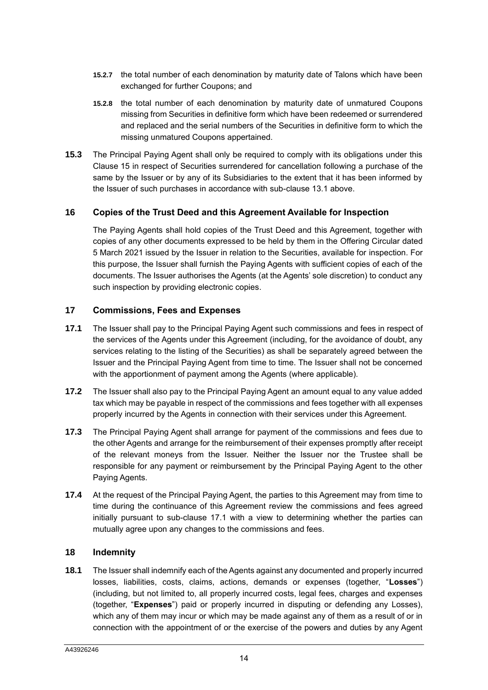- **15.2.7** the total number of each denomination by maturity date of Talons which have been exchanged for further Coupons; and
- **15.2.8** the total number of each denomination by maturity date of unmatured Coupons missing from Securities in definitive form which have been redeemed or surrendered and replaced and the serial numbers of the Securities in definitive form to which the missing unmatured Coupons appertained.
- **15.3** The Principal Paying Agent shall only be required to comply with its obligations under this Clause [15](#page-13-0) in respect of Securities surrendered for cancellation following a purchase of the same by the Issuer or by any of its Subsidiaries to the extent that it has been informed by the Issuer of such purchases in accordance with sub-clause [13.1](#page-11-3) above.

#### **16 Copies of the Trust Deed and this Agreement Available for Inspection**

The Paying Agents shall hold copies of the Trust Deed and this Agreement, together with copies of any other documents expressed to be held by them in the Offering Circular dated 5 March 2021 issued by the Issuer in relation to the Securities, available for inspection. For this purpose, the Issuer shall furnish the Paying Agents with sufficient copies of each of the documents. The Issuer authorises the Agents (at the Agents' sole discretion) to conduct any such inspection by providing electronic copies.

#### **17 Commissions, Fees and Expenses**

- <span id="page-14-0"></span>**17.1** The Issuer shall pay to the Principal Paying Agent such commissions and fees in respect of the services of the Agents under this Agreement (including, for the avoidance of doubt, any services relating to the listing of the Securities) as shall be separately agreed between the Issuer and the Principal Paying Agent from time to time. The Issuer shall not be concerned with the apportionment of payment among the Agents (where applicable).
- **17.2** The Issuer shall also pay to the Principal Paying Agent an amount equal to any value added tax which may be payable in respect of the commissions and fees together with all expenses properly incurred by the Agents in connection with their services under this Agreement.
- **17.3** The Principal Paying Agent shall arrange for payment of the commissions and fees due to the other Agents and arrange for the reimbursement of their expenses promptly after receipt of the relevant moneys from the Issuer. Neither the Issuer nor the Trustee shall be responsible for any payment or reimbursement by the Principal Paying Agent to the other Paying Agents.
- **17.4** At the request of the Principal Paying Agent, the parties to this Agreement may from time to time during the continuance of this Agreement review the commissions and fees agreed initially pursuant to sub-clause [17.1](#page-14-0) with a view to determining whether the parties can mutually agree upon any changes to the commissions and fees.

#### **18 Indemnity**

**18.1** The Issuer shall indemnify each of the Agents against any documented and properly incurred losses, liabilities, costs, claims, actions, demands or expenses (together, "**Losses**") (including, but not limited to, all properly incurred costs, legal fees, charges and expenses (together, "**Expenses**") paid or properly incurred in disputing or defending any Losses), which any of them may incur or which may be made against any of them as a result of or in connection with the appointment of or the exercise of the powers and duties by any Agent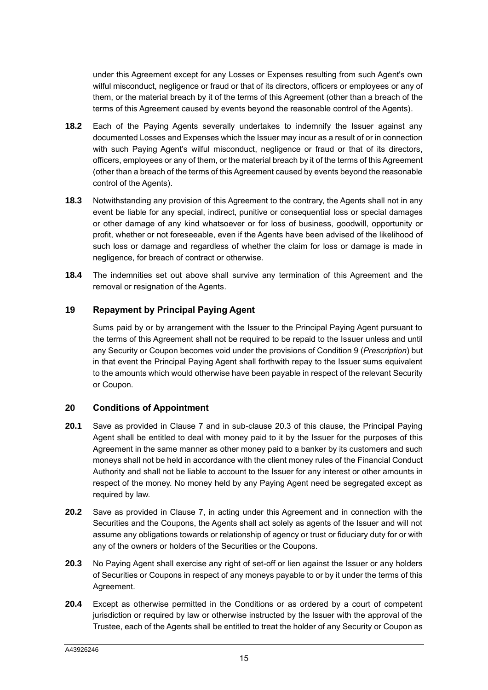under this Agreement except for any Losses or Expenses resulting from such Agent's own wilful misconduct, negligence or fraud or that of its directors, officers or employees or any of them, or the material breach by it of the terms of this Agreement (other than a breach of the terms of this Agreement caused by events beyond the reasonable control of the Agents).

- **18.2** Each of the Paying Agents severally undertakes to indemnify the Issuer against any documented Losses and Expenses which the Issuer may incur as a result of or in connection with such Paying Agent's wilful misconduct, negligence or fraud or that of its directors, officers, employees or any of them, or the material breach by it of the terms of this Agreement (other than a breach of the terms of this Agreement caused by events beyond the reasonable control of the Agents).
- **18.3** Notwithstanding any provision of this Agreement to the contrary, the Agents shall not in any event be liable for any special, indirect, punitive or consequential loss or special damages or other damage of any kind whatsoever or for loss of business, goodwill, opportunity or profit, whether or not foreseeable, even if the Agents have been advised of the likelihood of such loss or damage and regardless of whether the claim for loss or damage is made in negligence, for breach of contract or otherwise.
- **18.4** The indemnities set out above shall survive any termination of this Agreement and the removal or resignation of the Agents.

#### **19 Repayment by Principal Paying Agent**

Sums paid by or by arrangement with the Issuer to the Principal Paying Agent pursuant to the terms of this Agreement shall not be required to be repaid to the Issuer unless and until any Security or Coupon becomes void under the provisions of Condition 9 (*Prescription*) but in that event the Principal Paying Agent shall forthwith repay to the Issuer sums equivalent to the amounts which would otherwise have been payable in respect of the relevant Security or Coupon.

#### **20 Conditions of Appointment**

- **20.1** Save as provided in Clause 7 and in sub-clause 20.3 of this clause, the Principal Paying Agent shall be entitled to deal with money paid to it by the Issuer for the purposes of this Agreement in the same manner as other money paid to a banker by its customers and such moneys shall not be held in accordance with the client money rules of the Financial Conduct Authority and shall not be liable to account to the Issuer for any interest or other amounts in respect of the money. No money held by any Paying Agent need be segregated except as required by law.
- **20.2** Save as provided in Clause [7,](#page-7-0) in acting under this Agreement and in connection with the Securities and the Coupons, the Agents shall act solely as agents of the Issuer and will not assume any obligations towards or relationship of agency or trust or fiduciary duty for or with any of the owners or holders of the Securities or the Coupons.
- **20.3** No Paying Agent shall exercise any right of set-off or lien against the Issuer or any holders of Securities or Coupons in respect of any moneys payable to or by it under the terms of this Agreement.
- **20.4** Except as otherwise permitted in the Conditions or as ordered by a court of competent jurisdiction or required by law or otherwise instructed by the Issuer with the approval of the Trustee, each of the Agents shall be entitled to treat the holder of any Security or Coupon as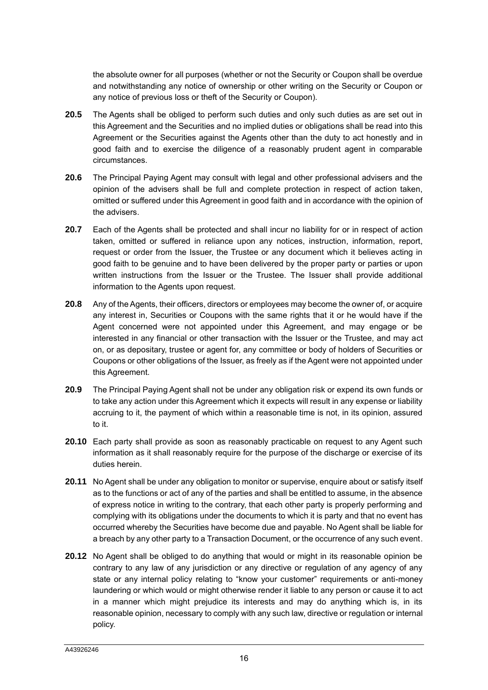the absolute owner for all purposes (whether or not the Security or Coupon shall be overdue and notwithstanding any notice of ownership or other writing on the Security or Coupon or any notice of previous loss or theft of the Security or Coupon).

- **20.5** The Agents shall be obliged to perform such duties and only such duties as are set out in this Agreement and the Securities and no implied duties or obligations shall be read into this Agreement or the Securities against the Agents other than the duty to act honestly and in good faith and to exercise the diligence of a reasonably prudent agent in comparable circumstances.
- **20.6** The Principal Paying Agent may consult with legal and other professional advisers and the opinion of the advisers shall be full and complete protection in respect of action taken, omitted or suffered under this Agreement in good faith and in accordance with the opinion of the advisers.
- **20.7** Each of the Agents shall be protected and shall incur no liability for or in respect of action taken, omitted or suffered in reliance upon any notices, instruction, information, report, request or order from the Issuer, the Trustee or any document which it believes acting in good faith to be genuine and to have been delivered by the proper party or parties or upon written instructions from the Issuer or the Trustee. The Issuer shall provide additional information to the Agents upon request.
- **20.8** Any of the Agents, their officers, directors or employees may become the owner of, or acquire any interest in, Securities or Coupons with the same rights that it or he would have if the Agent concerned were not appointed under this Agreement, and may engage or be interested in any financial or other transaction with the Issuer or the Trustee, and may act on, or as depositary, trustee or agent for, any committee or body of holders of Securities or Coupons or other obligations of the Issuer, as freely as if the Agent were not appointed under this Agreement.
- **20.9** The Principal Paying Agent shall not be under any obligation risk or expend its own funds or to take any action under this Agreement which it expects will result in any expense or liability accruing to it, the payment of which within a reasonable time is not, in its opinion, assured to it.
- **20.10** Each party shall provide as soon as reasonably practicable on request to any Agent such information as it shall reasonably require for the purpose of the discharge or exercise of its duties herein.
- **20.11** No Agent shall be under any obligation to monitor or supervise, enquire about or satisfy itself as to the functions or act of any of the parties and shall be entitled to assume, in the absence of express notice in writing to the contrary, that each other party is properly performing and complying with its obligations under the documents to which it is party and that no event has occurred whereby the Securities have become due and payable. No Agent shall be liable for a breach by any other party to a Transaction Document, or the occurrence of any such event.
- **20.12** No Agent shall be obliged to do anything that would or might in its reasonable opinion be contrary to any law of any jurisdiction or any directive or regulation of any agency of any state or any internal policy relating to "know your customer" requirements or anti-money laundering or which would or might otherwise render it liable to any person or cause it to act in a manner which might prejudice its interests and may do anything which is, in its reasonable opinion, necessary to comply with any such law, directive or regulation or internal policy.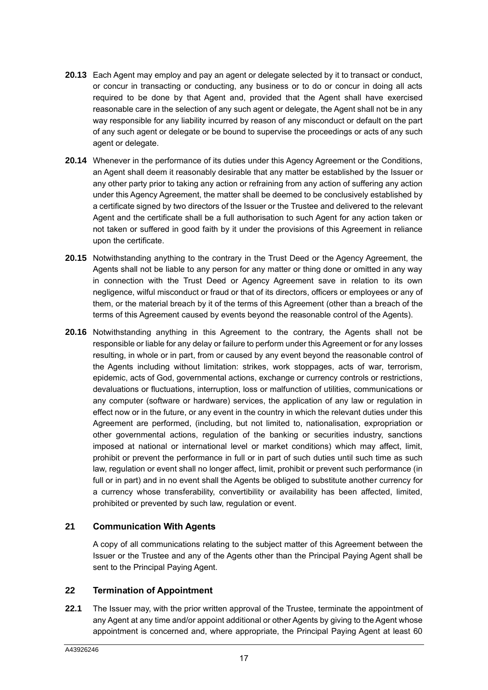- **20.13** Each Agent may employ and pay an agent or delegate selected by it to transact or conduct, or concur in transacting or conducting, any business or to do or concur in doing all acts required to be done by that Agent and, provided that the Agent shall have exercised reasonable care in the selection of any such agent or delegate, the Agent shall not be in any way responsible for any liability incurred by reason of any misconduct or default on the part of any such agent or delegate or be bound to supervise the proceedings or acts of any such agent or delegate.
- **20.14** Whenever in the performance of its duties under this Agency Agreement or the Conditions, an Agent shall deem it reasonably desirable that any matter be established by the Issuer or any other party prior to taking any action or refraining from any action of suffering any action under this Agency Agreement, the matter shall be deemed to be conclusively established by a certificate signed by two directors of the Issuer or the Trustee and delivered to the relevant Agent and the certificate shall be a full authorisation to such Agent for any action taken or not taken or suffered in good faith by it under the provisions of this Agreement in reliance upon the certificate.
- **20.15** Notwithstanding anything to the contrary in the Trust Deed or the Agency Agreement, the Agents shall not be liable to any person for any matter or thing done or omitted in any way in connection with the Trust Deed or Agency Agreement save in relation to its own negligence, wilful misconduct or fraud or that of its directors, officers or employees or any of them, or the material breach by it of the terms of this Agreement (other than a breach of the terms of this Agreement caused by events beyond the reasonable control of the Agents).
- **20.16** Notwithstanding anything in this Agreement to the contrary, the Agents shall not be responsible or liable for any delay or failure to perform under this Agreement or for any losses resulting, in whole or in part, from or caused by any event beyond the reasonable control of the Agents including without limitation: strikes, work stoppages, acts of war, terrorism, epidemic, acts of God, governmental actions, exchange or currency controls or restrictions, devaluations or fluctuations, interruption, loss or malfunction of utilities, communications or any computer (software or hardware) services, the application of any law or regulation in effect now or in the future, or any event in the country in which the relevant duties under this Agreement are performed, (including, but not limited to, nationalisation, expropriation or other governmental actions, regulation of the banking or securities industry, sanctions imposed at national or international level or market conditions) which may affect, limit, prohibit or prevent the performance in full or in part of such duties until such time as such law, regulation or event shall no longer affect, limit, prohibit or prevent such performance (in full or in part) and in no event shall the Agents be obliged to substitute another currency for a currency whose transferability, convertibility or availability has been affected, limited, prohibited or prevented by such law, regulation or event.

# **21 Communication With Agents**

A copy of all communications relating to the subject matter of this Agreement between the Issuer or the Trustee and any of the Agents other than the Principal Paying Agent shall be sent to the Principal Paying Agent.

#### <span id="page-17-1"></span>**22 Termination of Appointment**

<span id="page-17-0"></span>**22.1** The Issuer may, with the prior written approval of the Trustee, terminate the appointment of any Agent at any time and/or appoint additional or other Agents by giving to the Agent whose appointment is concerned and, where appropriate, the Principal Paying Agent at least 60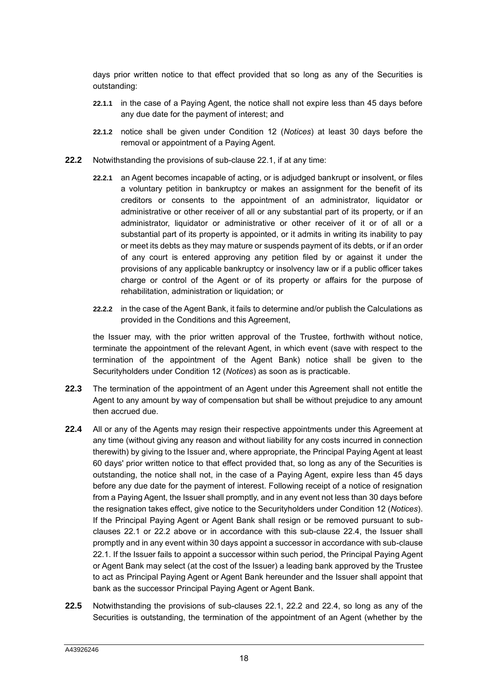days prior written notice to that effect provided that so long as any of the Securities is outstanding:

- **22.1.1** in the case of a Paying Agent, the notice shall not expire less than 45 days before any due date for the payment of interest; and
- **22.1.2** notice shall be given under Condition 12 (*Notices*) at least 30 days before the removal or appointment of a Paying Agent.
- <span id="page-18-0"></span>**22.2** Notwithstanding the provisions of sub-clause [22.1,](#page-17-0) if at any time:
	- **22.2.1** an Agent becomes incapable of acting, or is adjudged bankrupt or insolvent, or files a voluntary petition in bankruptcy or makes an assignment for the benefit of its creditors or consents to the appointment of an administrator, liquidator or administrative or other receiver of all or any substantial part of its property, or if an administrator, liquidator or administrative or other receiver of it or of all or a substantial part of its property is appointed, or it admits in writing its inability to pay or meet its debts as they may mature or suspends payment of its debts, or if an order of any court is entered approving any petition filed by or against it under the provisions of any applicable bankruptcy or insolvency law or if a public officer takes charge or control of the Agent or of its property or affairs for the purpose of rehabilitation, administration or liquidation; or
	- **22.2.2** in the case of the Agent Bank, it fails to determine and/or publish the Calculations as provided in the Conditions and this Agreement,

the Issuer may, with the prior written approval of the Trustee, forthwith without notice, terminate the appointment of the relevant Agent, in which event (save with respect to the termination of the appointment of the Agent Bank) notice shall be given to the Securityholders under Condition 12 (*Notices*) as soon as is practicable.

- **22.3** The termination of the appointment of an Agent under this Agreement shall not entitle the Agent to any amount by way of compensation but shall be without prejudice to any amount then accrued due.
- <span id="page-18-1"></span>**22.4** All or any of the Agents may resign their respective appointments under this Agreement at any time (without giving any reason and without liability for any costs incurred in connection therewith) by giving to the Issuer and, where appropriate, the Principal Paying Agent at least 60 days' prior written notice to that effect provided that, so long as any of the Securities is outstanding, the notice shall not, in the case of a Paying Agent, expire less than 45 days before any due date for the payment of interest. Following receipt of a notice of resignation from a Paying Agent, the Issuer shall promptly, and in any event not less than 30 days before the resignation takes effect, give notice to the Securityholders under Condition 12 (*Notices*). If the Principal Paying Agent or Agent Bank shall resign or be removed pursuant to subclauses [22.1](#page-17-0) or [22.2](#page-18-0) above or in accordance with this sub-clause [22.4,](#page-18-1) the Issuer shall promptly and in any event within 30 days appoint a successor in accordance with sub-clause [22.1.](#page-17-0) If the Issuer fails to appoint a successor within such period, the Principal Paying Agent or Agent Bank may select (at the cost of the Issuer) a leading bank approved by the Trustee to act as Principal Paying Agent or Agent Bank hereunder and the Issuer shall appoint that bank as the successor Principal Paying Agent or Agent Bank.
- **22.5** Notwithstanding the provisions of sub-clauses [22.1,](#page-17-0) [22.2](#page-18-0) and [22.4,](#page-18-1) so long as any of the Securities is outstanding, the termination of the appointment of an Agent (whether by the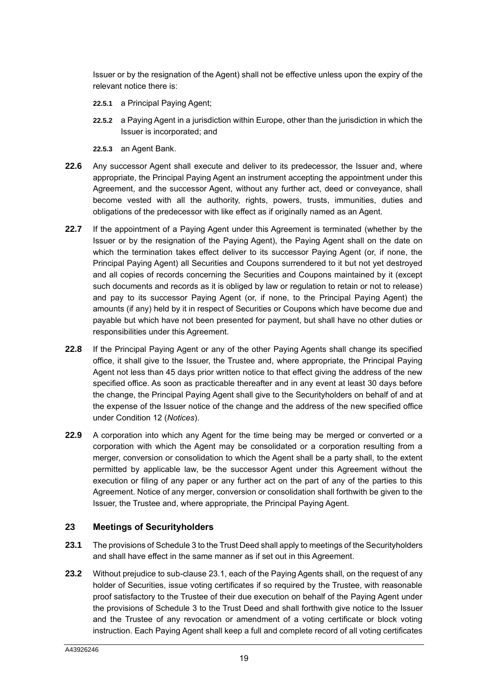Issuer or by the resignation of the Agent) shall not be effective unless upon the expiry of the relevant notice there is:

- **22.5.1** a Principal Paying Agent;
- **22.5.2** a Paying Agent in a jurisdiction within Europe, other than the jurisdiction in which the Issuer is incorporated; and
- **22.5.3** an Agent Bank.
- **22.6** Any successor Agent shall execute and deliver to its predecessor, the Issuer and, where appropriate, the Principal Paying Agent an instrument accepting the appointment under this Agreement, and the successor Agent, without any further act, deed or conveyance, shall become vested with all the authority, rights, powers, trusts, immunities, duties and obligations of the predecessor with like effect as if originally named as an Agent.
- **22.7** If the appointment of a Paying Agent under this Agreement is terminated (whether by the Issuer or by the resignation of the Paying Agent), the Paying Agent shall on the date on which the termination takes effect deliver to its successor Paying Agent (or, if none, the Principal Paying Agent) all Securities and Coupons surrendered to it but not yet destroyed and all copies of records concerning the Securities and Coupons maintained by it (except such documents and records as it is obliged by law or regulation to retain or not to release) and pay to its successor Paying Agent (or, if none, to the Principal Paying Agent) the amounts (if any) held by it in respect of Securities or Coupons which have become due and payable but which have not been presented for payment, but shall have no other duties or responsibilities under this Agreement.
- **22.8** If the Principal Paying Agent or any of the other Paying Agents shall change its specified office, it shall give to the Issuer, the Trustee and, where appropriate, the Principal Paying Agent not less than 45 days prior written notice to that effect giving the address of the new specified office. As soon as practicable thereafter and in any event at least 30 days before the change, the Principal Paying Agent shall give to the Securityholders on behalf of and at the expense of the Issuer notice of the change and the address of the new specified office under Condition 12 (*Notices*).
- **22.9** A corporation into which any Agent for the time being may be merged or converted or a corporation with which the Agent may be consolidated or a corporation resulting from a merger, conversion or consolidation to which the Agent shall be a party shall, to the extent permitted by applicable law, be the successor Agent under this Agreement without the execution or filing of any paper or any further act on the part of any of the parties to this Agreement. Notice of any merger, conversion or consolidation shall forthwith be given to the Issuer, the Trustee and, where appropriate, the Principal Paying Agent.

#### **23 Meetings of Securityholders**

- <span id="page-19-0"></span>**23.1** The provisions of Schedule 3 to the Trust Deed shall apply to meetings of the Securityholders and shall have effect in the same manner as if set out in this Agreement.
- **23.2** Without prejudice to sub-claus[e 23.1,](#page-19-0) each of the Paying Agents shall, on the request of any holder of Securities, issue voting certificates if so required by the Trustee, with reasonable proof satisfactory to the Trustee of their due execution on behalf of the Paying Agent under the provisions of Schedule 3 to the Trust Deed and shall forthwith give notice to the Issuer and the Trustee of any revocation or amendment of a voting certificate or block voting instruction. Each Paying Agent shall keep a full and complete record of all voting certificates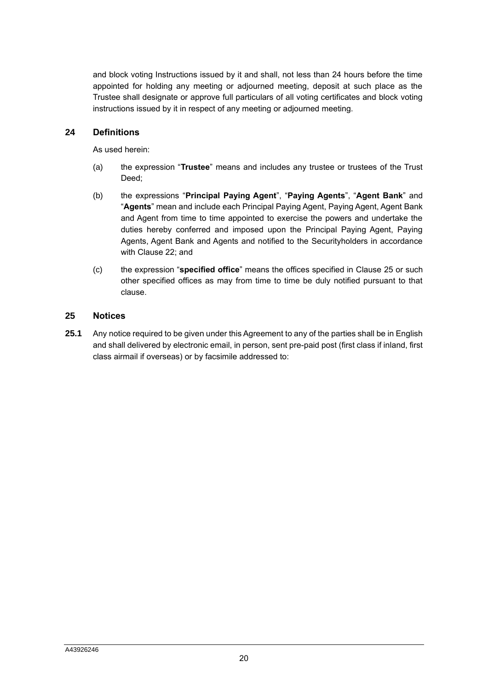and block voting Instructions issued by it and shall, not less than 24 hours before the time appointed for holding any meeting or adjourned meeting, deposit at such place as the Trustee shall designate or approve full particulars of all voting certificates and block voting instructions issued by it in respect of any meeting or adjourned meeting.

#### **24 Definitions**

As used herein:

- (a) the expression "**Trustee**" means and includes any trustee or trustees of the Trust Deed;
- (b) the expressions "**Principal Paying Agent**", "**Paying Agents**", "**Agent Bank**" and "**Agents**" mean and include each Principal Paying Agent, Paying Agent, Agent Bank and Agent from time to time appointed to exercise the powers and undertake the duties hereby conferred and imposed upon the Principal Paying Agent, Paying Agents, Agent Bank and Agents and notified to the Securityholders in accordance with Clause [22;](#page-17-1) and
- (c) the expression "**specified office**" means the offices specified in Clause [25](#page-20-0) or such other specified offices as may from time to time be duly notified pursuant to that clause.

#### <span id="page-20-0"></span>**25 Notices**

**25.1** Any notice required to be given under this Agreement to any of the parties shall be in English and shall delivered by electronic email, in person, sent pre-paid post (first class if inland, first class airmail if overseas) or by facsimile addressed to: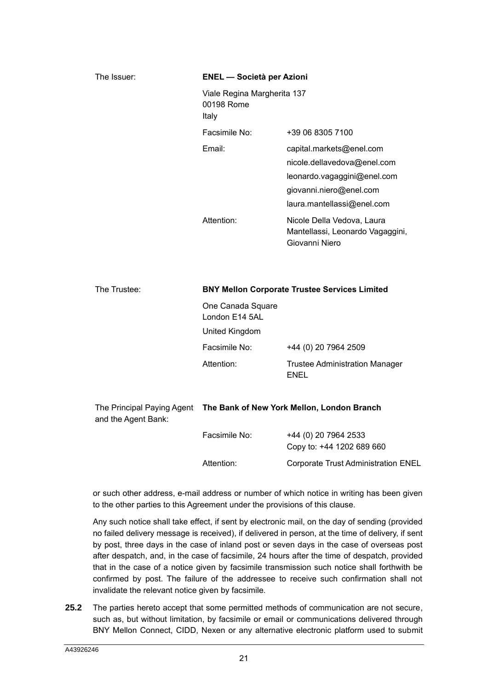| The Issuer: | <b>ENEL</b> - Società per Azioni                   |                                                                                  |
|-------------|----------------------------------------------------|----------------------------------------------------------------------------------|
|             | Viale Regina Margherita 137<br>00198 Rome<br>Italy |                                                                                  |
|             | Facsimile No:                                      | +39 06 8305 7100                                                                 |
|             | Email:                                             | capital.markets@enel.com                                                         |
|             |                                                    | nicole.dellavedova@enel.com                                                      |
|             |                                                    | leonardo.vagaggini@enel.com                                                      |
|             |                                                    | giovanni.niero@enel.com                                                          |
|             |                                                    | laura.mantellassi@enel.com                                                       |
|             | Attention:                                         | Nicole Della Vedova, Laura<br>Mantellassi, Leonardo Vagaggini,<br>Giovanni Niero |

| The Trustee: | <b>BNY Mellon Corporate Trustee Services Limited</b> |                                                      |  |
|--------------|------------------------------------------------------|------------------------------------------------------|--|
|              | One Canada Square<br>London E14 5AL                  |                                                      |  |
|              | United Kingdom                                       |                                                      |  |
|              | Facsimile No:                                        | +44 (0) 20 7964 2509                                 |  |
|              | Attention:                                           | <b>Trustee Administration Manager</b><br><b>ENEL</b> |  |

| and the Agent Bank: | The Principal Paying Agent The Bank of New York Mellon, London Branch |                                                   |
|---------------------|-----------------------------------------------------------------------|---------------------------------------------------|
|                     | Facsimile No:                                                         | +44 (0) 20 7964 2533<br>Copy to: +44 1202 689 660 |
|                     | Attention:                                                            | <b>Corporate Trust Administration ENEL</b>        |

or such other address, e-mail address or number of which notice in writing has been given to the other parties to this Agreement under the provisions of this clause.

Any such notice shall take effect, if sent by electronic mail, on the day of sending (provided no failed delivery message is received), if delivered in person, at the time of delivery, if sent by post, three days in the case of inland post or seven days in the case of overseas post after despatch, and, in the case of facsimile, 24 hours after the time of despatch, provided that in the case of a notice given by facsimile transmission such notice shall forthwith be confirmed by post. The failure of the addressee to receive such confirmation shall not invalidate the relevant notice given by facsimile.

**25.2** The parties hereto accept that some permitted methods of communication are not secure, such as, but without limitation, by facsimile or email or communications delivered through BNY Mellon Connect, CIDD, Nexen or any alternative electronic platform used to submit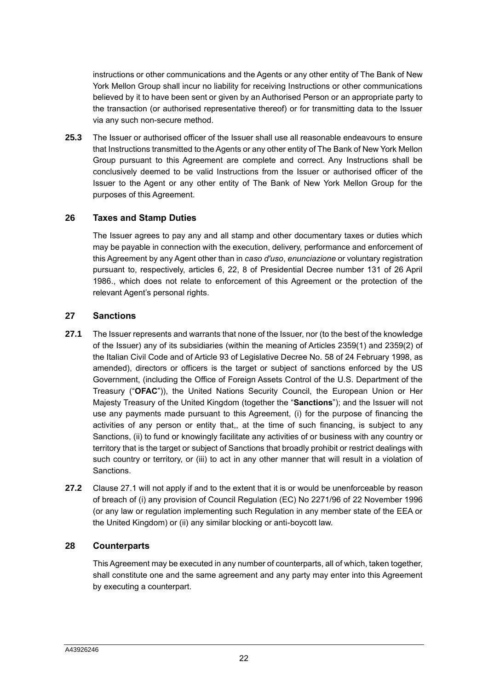instructions or other communications and the Agents or any other entity of The Bank of New York Mellon Group shall incur no liability for receiving Instructions or other communications believed by it to have been sent or given by an Authorised Person or an appropriate party to the transaction (or authorised representative thereof) or for transmitting data to the Issuer via any such non-secure method.

**25.3** The Issuer or authorised officer of the Issuer shall use all reasonable endeavours to ensure that Instructions transmitted to the Agents or any other entity of The Bank of New York Mellon Group pursuant to this Agreement are complete and correct. Any Instructions shall be conclusively deemed to be valid Instructions from the Issuer or authorised officer of the Issuer to the Agent or any other entity of The Bank of New York Mellon Group for the purposes of this Agreement.

#### **26 Taxes and Stamp Duties**

The Issuer agrees to pay any and all stamp and other documentary taxes or duties which may be payable in connection with the execution, delivery, performance and enforcement of this Agreement by any Agent other than in *caso d'uso*, *enunciazione* or voluntary registration pursuant to, respectively, articles 6, 22, 8 of Presidential Decree number 131 of 26 April 1986., which does not relate to enforcement of this Agreement or the protection of the relevant Agent's personal rights.

#### **27 Sanctions**

- **27.1** The Issuer represents and warrants that none of the Issuer, nor (to the best of the knowledge of the Issuer) any of its subsidiaries (within the meaning of Articles 2359(1) and 2359(2) of the Italian Civil Code and of Article 93 of Legislative Decree No. 58 of 24 February 1998, as amended), directors or officers is the target or subject of sanctions enforced by the US Government, (including the Office of Foreign Assets Control of the U.S. Department of the Treasury ("**OFAC**")), the United Nations Security Council, the European Union or Her Majesty Treasury of the United Kingdom (together the "**Sanctions**"); and the Issuer will not use any payments made pursuant to this Agreement, (i) for the purpose of financing the activities of any person or entity that,, at the time of such financing, is subject to any Sanctions, (ii) to fund or knowingly facilitate any activities of or business with any country or territory that is the target or subject of Sanctions that broadly prohibit or restrict dealings with such country or territory, or (iii) to act in any other manner that will result in a violation of Sanctions.
- **27.2** Clause 27.1 will not apply if and to the extent that it is or would be unenforceable by reason of breach of (i) any provision of Council Regulation (EC) No 2271/96 of 22 November 1996 (or any law or regulation implementing such Regulation in any member state of the EEA or the United Kingdom) or (ii) any similar blocking or anti-boycott law.

#### **28 Counterparts**

This Agreement may be executed in any number of counterparts, all of which, taken together, shall constitute one and the same agreement and any party may enter into this Agreement by executing a counterpart.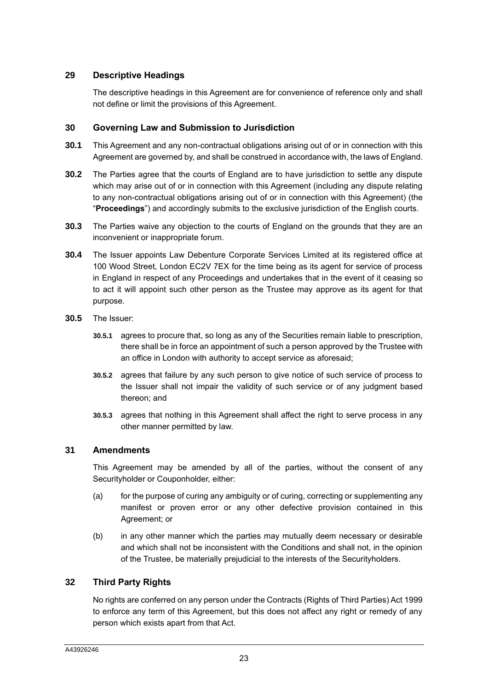#### **29 Descriptive Headings**

The descriptive headings in this Agreement are for convenience of reference only and shall not define or limit the provisions of this Agreement.

#### **30 Governing Law and Submission to Jurisdiction**

- **30.1** This Agreement and any non-contractual obligations arising out of or in connection with this Agreement are governed by, and shall be construed in accordance with, the laws of England.
- **30.2** The Parties agree that the courts of England are to have jurisdiction to settle any dispute which may arise out of or in connection with this Agreement (including any dispute relating to any non-contractual obligations arising out of or in connection with this Agreement) (the "**Proceedings**") and accordingly submits to the exclusive jurisdiction of the English courts.
- **30.3** The Parties waive any objection to the courts of England on the grounds that they are an inconvenient or inappropriate forum.
- **30.4** The Issuer appoints Law Debenture Corporate Services Limited at its registered office at 100 Wood Street, London EC2V 7EX for the time being as its agent for service of process in England in respect of any Proceedings and undertakes that in the event of it ceasing so to act it will appoint such other person as the Trustee may approve as its agent for that purpose.
- **30.5** The Issuer:
	- **30.5.1** agrees to procure that, so long as any of the Securities remain liable to prescription, there shall be in force an appointment of such a person approved by the Trustee with an office in London with authority to accept service as aforesaid;
	- **30.5.2** agrees that failure by any such person to give notice of such service of process to the Issuer shall not impair the validity of such service or of any judgment based thereon; and
	- **30.5.3** agrees that nothing in this Agreement shall affect the right to serve process in any other manner permitted by law.

#### **31 Amendments**

This Agreement may be amended by all of the parties, without the consent of any Securityholder or Couponholder, either:

- (a) for the purpose of curing any ambiguity or of curing, correcting or supplementing any manifest or proven error or any other defective provision contained in this Agreement; or
- (b) in any other manner which the parties may mutually deem necessary or desirable and which shall not be inconsistent with the Conditions and shall not, in the opinion of the Trustee, be materially prejudicial to the interests of the Securityholders.

#### **32 Third Party Rights**

No rights are conferred on any person under the Contracts (Rights of Third Parties) Act 1999 to enforce any term of this Agreement, but this does not affect any right or remedy of any person which exists apart from that Act.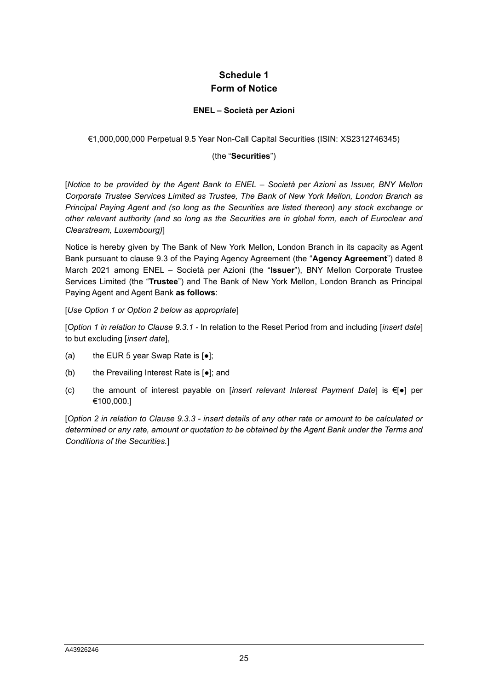# **Schedule 1 Form of Notice**

#### **ENEL – Società per Azioni**

<span id="page-25-0"></span>€1,000,000,000 Perpetual 9.5 Year Non-Call Capital Securities (ISIN: XS2312746345)

#### (the "**Securities**")

[*Notice to be provided by the Agent Bank to ENEL – Società per Azioni as Issuer, BNY Mellon Corporate Trustee Services Limited as Trustee, The Bank of New York Mellon, London Branch as Principal Paying Agent and (so long as the Securities are listed thereon) any stock exchange or other relevant authority (and so long as the Securities are in global form, each of Euroclear and Clearstream, Luxembourg)*]

Notice is hereby given by The Bank of New York Mellon, London Branch in its capacity as Agent Bank pursuant to clause [9.3](#page-8-2) of the Paying Agency Agreement (the "**Agency Agreement**") dated 8 March 2021 among ENEL – Società per Azioni (the "**Issuer**"), BNY Mellon Corporate Trustee Services Limited (the "**Trustee**") and The Bank of New York Mellon, London Branch as Principal Paying Agent and Agent Bank **as follows**:

#### [*Use Option 1 or Option 2 below as appropriate*]

[*Option 1 in relation to Clause [9.3.1](#page-8-0) -* In relation to the Reset Period from and including [*insert date*] to but excluding [*insert date*],

- (a) the EUR 5 year Swap Rate is  $\left[ \bullet \right]$ ;
- (b) the Prevailing Interest Rate is [●]; and
- (c) the amount of interest payable on [*insert relevant Interest Payment Date*] is €[●] per €100,000.]

[*Option 2 in relation to Clause [9.3.3](#page-9-0) - insert details of any other rate or amount to be calculated or determined or any rate, amount or quotation to be obtained by the Agent Bank under the Terms and Conditions of the Securities.*]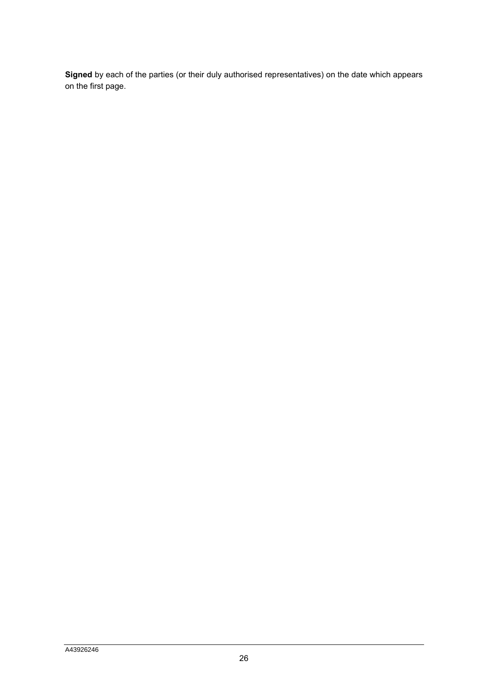**Signed** by each of the parties (or their duly authorised representatives) on the date which appears on the first page.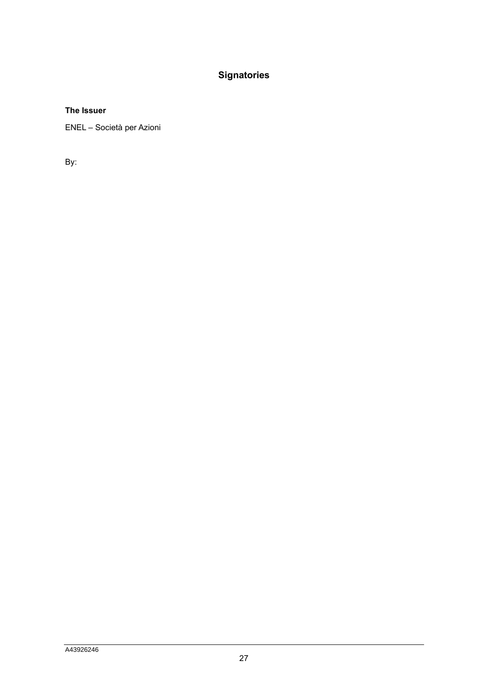# **Signatories**

#### **The Issuer**

ENEL – Società per Azioni

By: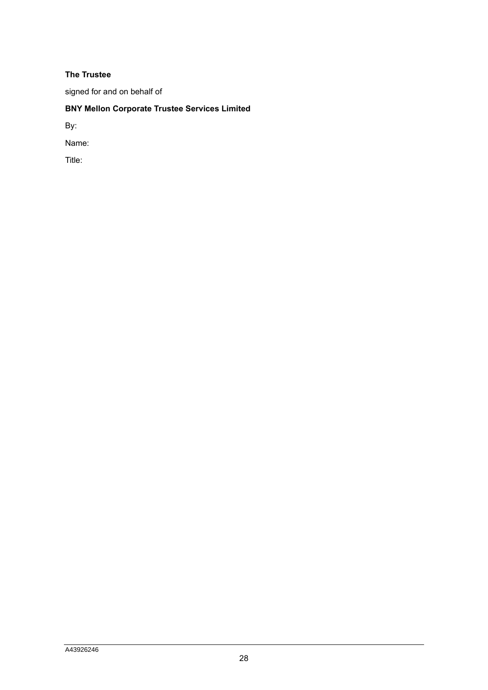#### **The Trustee**

signed for and on behalf of

# **BNY Mellon Corporate Trustee Services Limited**

By:

Name:

Title: